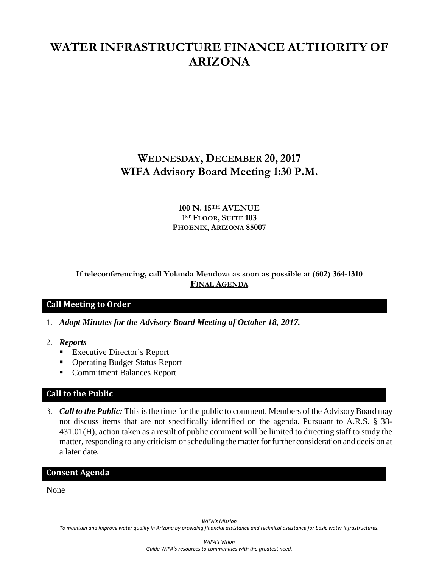# **WATER INFRASTRUCTURE FINANCE AUTHORITY OF ARIZONA**

## **WEDNESDAY, DECEMBER 20, 2017 WIFA Advisory Board Meeting 1:30 P.M.**

#### **100 N. 15TH AVENUE 1ST FLOOR, SUITE 103 PHOENIX, ARIZONA 85007**

#### **If teleconferencing, call Yolanda Mendoza as soon as possible at (602) 364-1310 FINAL AGENDA**

#### **Call Meeting to Order**

- 1. *Adopt Minutes for the Advisory Board Meeting of October 18, 2017.*
- 2. *Reports*
	- Executive Director's Report
	- Operating Budget Status Report
	- Commitment Balances Report

#### **Call to the Public**

3. *Call to the Public:* This is the time for the public to comment. Members of the Advisory Board may not discuss items that are not specifically identified on the agenda. Pursuant to A.R.S. § 38- 431.01(H), action taken as a result of public comment will be limited to directing staff to study the matter, responding to any criticism or scheduling the matter for further consideration and decision at a later date.

#### **Consent Agenda**

None

*WIFA's Mission*

*To maintain and improve water quality in Arizona by providing financial assistance and technical assistance for basic water infrastructures.*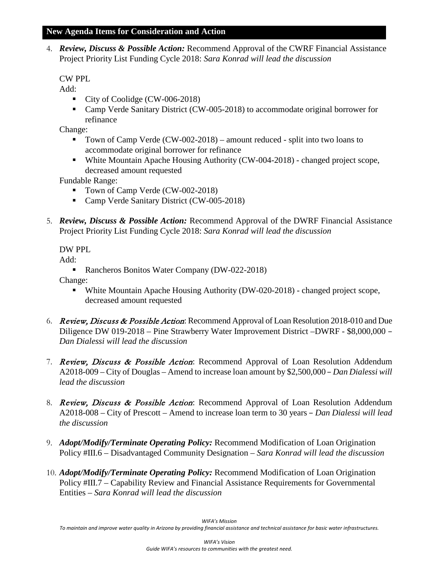#### **New Agenda Items for Consideration and Action**

4. *Review, Discuss & Possible Action:* Recommend Approval of the CWRF Financial Assistance Project Priority List Funding Cycle 2018: *Sara Konrad will lead the discussion*

#### CW PPL

Add:

- City of Coolidge (CW-006-2018)
- Camp Verde Sanitary District (CW-005-2018) to accommodate original borrower for refinance

Change:

- Town of Camp Verde (CW-002-2018) amount reduced split into two loans to accommodate original borrower for refinance
- White Mountain Apache Housing Authority (CW-004-2018) changed project scope, decreased amount requested

Fundable Range:

- Town of Camp Verde (CW-002-2018)
- Camp Verde Sanitary District (CW-005-2018)
- 5. *Review, Discuss & Possible Action:* Recommend Approval of the DWRF Financial Assistance Project Priority List Funding Cycle 2018: *Sara Konrad will lead the discussion*

DW PPL

Add:

• Rancheros Bonitos Water Company (DW-022-2018)

Change:

- White Mountain Apache Housing Authority (DW-020-2018) changed project scope, decreased amount requested
- 6. Review, Discuss & Possible Action: Recommend Approval of Loan Resolution 2018-010 and Due Diligence DW 019-2018 – Pine Strawberry Water Improvement District –DWRF - \$8,000,000 – *Dan Dialessi will lead the discussion*
- 7. Review, Discuss & Possible Action: Recommend Approval of Loan Resolution Addendum A2018-009 – City of Douglas – Amend to increase loan amount by \$2,500,000 – *Dan Dialessi will lead the discussion*
- 8. Review, Discuss & Possible Action: Recommend Approval of Loan Resolution Addendum A2018-008 – City of Prescott – Amend to increase loan term to 30 years – *Dan Dialessi will lead the discussion*
- 9. *Adopt/Modify/Terminate Operating Policy:* Recommend Modification of Loan Origination Policy #III.6 – Disadvantaged Community Designation *– Sara Konrad will lead the discussion*
- 10. *Adopt/Modify/Terminate Operating Policy:* Recommend Modification of Loan Origination Policy #III.7 – Capability Review and Financial Assistance Requirements for Governmental Entities *– Sara Konrad will lead the discussion*

*WIFA's Mission*

*To maintain and improve water quality in Arizona by providing financial assistance and technical assistance for basic water infrastructures.*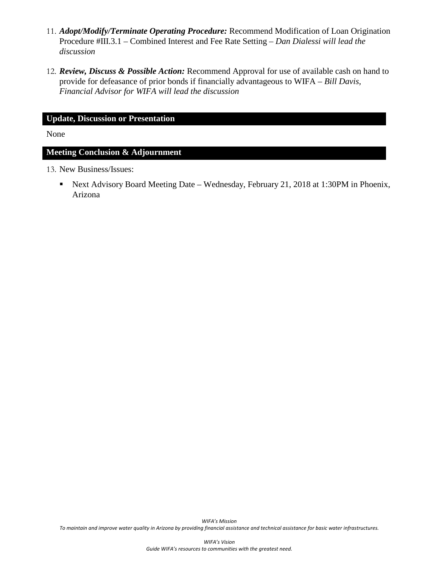- 11. *Adopt/Modify/Terminate Operating Procedure:* Recommend Modification of Loan Origination Procedure #III.3.1 – Combined Interest and Fee Rate Setting *– Dan Dialessi will lead the discussion*
- 12. *Review, Discuss & Possible Action:* Recommend Approval for use of available cash on hand to provide for defeasance of prior bonds if financially advantageous to WIFA – *Bill Davis, Financial Advisor for WIFA will lead the discussion*

#### **Update, Discussion or Presentation**

None

#### **Meeting Conclusion & Adjournment**

13. New Business/Issues:

■ Next Advisory Board Meeting Date – Wednesday, February 21, 2018 at 1:30PM in Phoenix, Arizona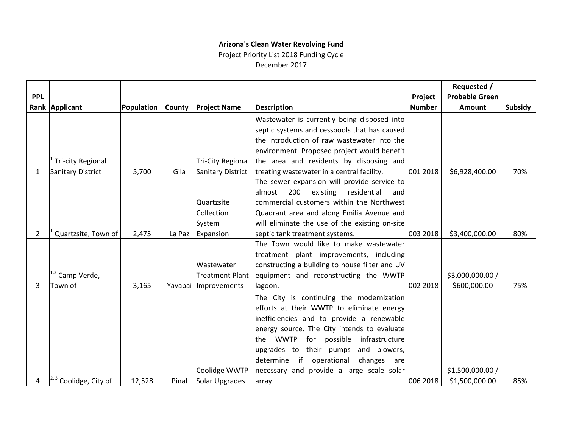### **Arizona's Clean Water Revolving Fund**

Project Priority List 2018 Funding Cycle December 2017

|                       |                                 |            |               |                          |                                                       |               | Requested /           |                |
|-----------------------|---------------------------------|------------|---------------|--------------------------|-------------------------------------------------------|---------------|-----------------------|----------------|
| <b>PPL</b>            |                                 |            |               |                          |                                                       | Project       | <b>Probable Green</b> |                |
|                       | Rank Applicant                  | Population | <b>County</b> | <b>Project Name</b>      | <b>Description</b>                                    | <b>Number</b> | Amount                | <b>Subsidy</b> |
|                       |                                 |            |               |                          | Wastewater is currently being disposed into           |               |                       |                |
|                       |                                 |            |               |                          | septic systems and cesspools that has caused          |               |                       |                |
|                       |                                 |            |               |                          | the introduction of raw wastewater into the           |               |                       |                |
|                       |                                 |            |               |                          | environment. Proposed project would benefit           |               |                       |                |
|                       | <b>Tri-city Regional</b>        |            |               | <b>Tri-City Regional</b> | the area and residents by disposing and               |               |                       |                |
| $\mathbf{1}$          | Sanitary District               | 5,700      | Gila          | Sanitary District        | treating wastewater in a central facility.            | 001 2018      | \$6,928,400.00        | 70%            |
|                       |                                 |            |               |                          | The sewer expansion will provide service to           |               |                       |                |
|                       |                                 |            |               |                          | 200<br>existing<br>residential<br>almost<br>and       |               |                       |                |
|                       |                                 |            |               | Quartzsite               | commercial customers within the Northwest             |               |                       |                |
|                       |                                 |            |               | Collection               | Quadrant area and along Emilia Avenue and             |               |                       |                |
|                       |                                 |            |               | System                   | will eliminate the use of the existing on-site        |               |                       |                |
| $\mathbf{2}^{\prime}$ | Quartzsite, Town of             | 2,475      | La Paz        | Expansion                | septic tank treatment systems.                        | 003 2018      | \$3,400,000.00        | 80%            |
|                       |                                 |            |               |                          | The Town would like to make wastewater                |               |                       |                |
|                       |                                 |            |               |                          | treatment plant improvements, including               |               |                       |                |
|                       |                                 |            |               | Wastewater               | constructing a building to house filter and UV        |               |                       |                |
|                       | $1,3$ Camp Verde,               |            |               | Treatment Plant          | equipment and reconstructing the WWTP                 |               | \$3,000,000.00 /      |                |
| 3                     | Town of                         | 3,165      |               | Yavapai Improvements     | lagoon.                                               | 002 2018      | \$600,000.00          | 75%            |
|                       |                                 |            |               |                          | The City is continuing the modernization              |               |                       |                |
|                       |                                 |            |               |                          | efforts at their WWTP to eliminate energy             |               |                       |                |
|                       |                                 |            |               |                          | inefficiencies and to provide a renewable             |               |                       |                |
|                       |                                 |            |               |                          | energy source. The City intends to evaluate           |               |                       |                |
|                       |                                 |            |               |                          | <b>WWTP</b><br>for possible<br>infrastructure<br>lthe |               |                       |                |
|                       |                                 |            |               |                          | upgrades to their pumps<br>and blowers,               |               |                       |                |
|                       |                                 |            |               |                          | if<br>determine<br>operational<br>changes are         |               |                       |                |
|                       |                                 |            |               | Coolidge WWTP            | necessary and provide a large scale solar             |               | \$1,500,000.00 /      |                |
|                       | $\vert^{2,3}$ Coolidge, City of | 12,528     | Pinal         | Solar Upgrades           | array.                                                | 006 2018      | \$1,500,000.00        | 85%            |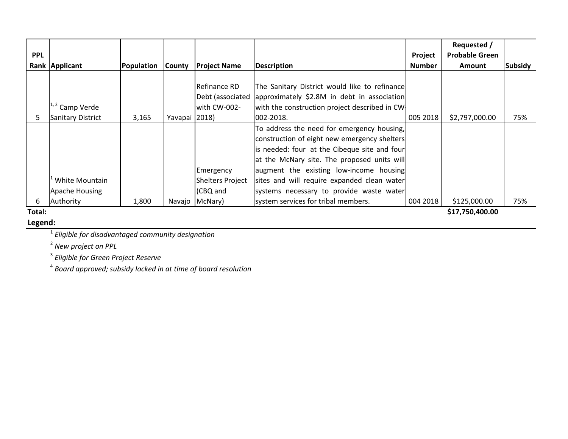|            |                          |            |               |                         |                                                |               | Requested /           |                |  |
|------------|--------------------------|------------|---------------|-------------------------|------------------------------------------------|---------------|-----------------------|----------------|--|
| <b>PPL</b> |                          |            |               |                         |                                                | Project       | <b>Probable Green</b> |                |  |
|            | Rank Applicant           | Population | <b>County</b> | <b>Project Name</b>     | <b>Description</b>                             | <b>Number</b> | <b>Amount</b>         | <b>Subsidy</b> |  |
|            |                          |            |               |                         |                                                |               |                       |                |  |
|            |                          |            |               | Refinance RD            | The Sanitary District would like to refinance  |               |                       |                |  |
|            |                          |            |               | Debt (associated        | approximately \$2.8M in debt in association    |               |                       |                |  |
|            | $1, 2$ Camp Verde        |            |               | with CW-002-            | with the construction project described in CW. |               |                       |                |  |
|            | <b>Sanitary District</b> | 3,165      | Yavapai 2018) |                         | 002-2018.                                      | 005 2018      | \$2,797,000.00        | 75%            |  |
|            |                          |            |               |                         | To address the need for emergency housing,     |               |                       |                |  |
|            |                          |            |               |                         | construction of eight new emergency shelters   |               |                       |                |  |
|            |                          |            |               |                         | is needed: four at the Cibeque site and four   |               |                       |                |  |
|            |                          |            |               |                         | at the McNary site. The proposed units will    |               |                       |                |  |
|            |                          |            |               | Emergency               | augment the existing low-income housing        |               |                       |                |  |
|            | White Mountain           |            |               | <b>Shelters Project</b> | sites and will require expanded clean water    |               |                       |                |  |
|            | Apache Housing           |            |               | (CBQ and                | systems necessary to provide waste water       |               |                       |                |  |
| 6.         | Authority                | 1,800      | Navajo        | McNary)                 | system services for tribal members.            | 004 2018      | \$125,000.00          | 75%            |  |
| Total:     | \$17,750,400.00          |            |               |                         |                                                |               |                       |                |  |

**Legend:**

<sup>1</sup> *Eligible for disadvantaged community designation*

<sup>2</sup> *New project on PPL*

<sup>3</sup> *Eligible for Green Project Reserve*

<sup>4</sup> *Board approved; subsidy locked in at time of board resolution*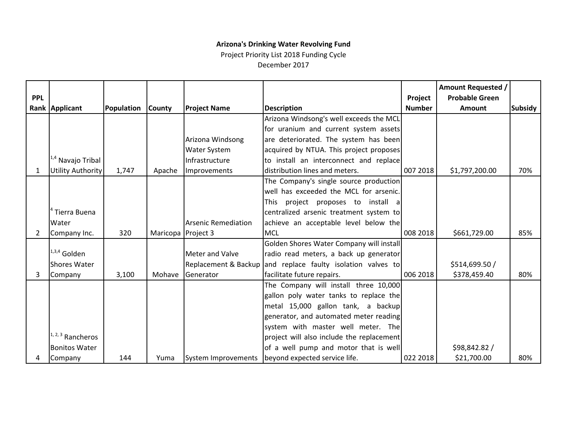### **Arizona's Drinking Water Revolving Fund**

Project Priority List 2018 Funding Cycle December 2017

|            |                              |            |                    |                            |                                                             |               | <b>Amount Requested /</b> |                |
|------------|------------------------------|------------|--------------------|----------------------------|-------------------------------------------------------------|---------------|---------------------------|----------------|
| <b>PPL</b> |                              |            |                    |                            |                                                             | Project       | <b>Probable Green</b>     |                |
|            | Rank Applicant               | Population | <b>County</b>      | <b>Project Name</b>        | <b>Description</b>                                          | <b>Number</b> | <b>Amount</b>             | <b>Subsidy</b> |
|            |                              |            |                    |                            | Arizona Windsong's well exceeds the MCL                     |               |                           |                |
|            |                              |            |                    |                            | for uranium and current system assets                       |               |                           |                |
|            |                              |            |                    | Arizona Windsong           | are deteriorated. The system has been                       |               |                           |                |
|            |                              |            |                    | <b>Water System</b>        | acquired by NTUA. This project proposes                     |               |                           |                |
|            | <sup>1,4</sup> Navajo Tribal |            |                    | Infrastructure             | to install an interconnect and replace                      |               |                           |                |
| 1          | <b>Utility Authority</b>     | 1,747      | Apache             | Improvements               | distribution lines and meters.                              | 007 2018      | \$1,797,200.00            | 70%            |
|            |                              |            |                    |                            | The Company's single source production                      |               |                           |                |
|            |                              |            |                    |                            | well has exceeded the MCL for arsenic.                      |               |                           |                |
|            |                              |            |                    |                            | This project proposes to install a                          |               |                           |                |
|            | Tierra Buena                 |            |                    |                            | centralized arsenic treatment system to                     |               |                           |                |
|            | Water                        |            |                    | <b>Arsenic Remediation</b> | achieve an acceptable level below the                       |               |                           |                |
| 2          | Company Inc.                 | 320        | Maricopa Project 3 |                            | <b>MCL</b>                                                  | 008 2018      | \$661,729.00              | 85%            |
|            |                              |            |                    |                            | Golden Shores Water Company will install                    |               |                           |                |
|            | $1,3,4$ Golden               |            |                    | <b>Meter and Valve</b>     | radio read meters, a back up generator                      |               |                           |                |
|            | <b>Shores Water</b>          |            |                    |                            | Replacement & Backup and replace faulty isolation valves to |               | \$514,699.50 /            |                |
| 3          | Company                      | 3,100      | Mohave             | Generator                  | facilitate future repairs.                                  | 006 2018      | \$378,459.40              | 80%            |
|            |                              |            |                    |                            | The Company will install three 10,000                       |               |                           |                |
|            |                              |            |                    |                            | gallon poly water tanks to replace the                      |               |                           |                |
|            |                              |            |                    |                            | metal 15,000 gallon tank, a backup                          |               |                           |                |
|            |                              |            |                    |                            | generator, and automated meter reading                      |               |                           |                |
|            |                              |            |                    |                            | system with master well meter. The                          |               |                           |                |
|            | $1, 2, 3$ Rancheros          |            |                    |                            | project will also include the replacement                   |               |                           |                |
|            | <b>Bonitos Water</b>         |            |                    |                            | of a well pump and motor that is well                       |               | \$98,842.82 /             |                |
| 4          | Company                      | 144        | Yuma               | System Improvements        | beyond expected service life.                               | 022 2018      | \$21,700.00               | 80%            |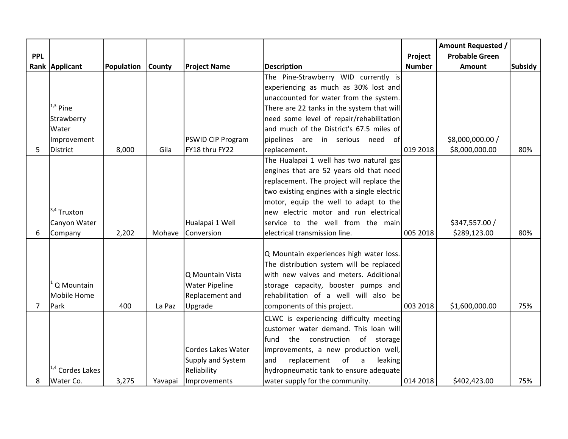|                |                             |            |               |                          |                                             |               | <b>Amount Requested /</b> |                |
|----------------|-----------------------------|------------|---------------|--------------------------|---------------------------------------------|---------------|---------------------------|----------------|
| <b>PPL</b>     |                             |            |               |                          |                                             | Project       | <b>Probable Green</b>     |                |
|                | Rank Applicant              | Population | <b>County</b> | <b>Project Name</b>      | <b>Description</b>                          | <b>Number</b> | Amount                    | <b>Subsidy</b> |
|                |                             |            |               |                          | The Pine-Strawberry WID currently is        |               |                           |                |
|                |                             |            |               |                          | experiencing as much as 30% lost and        |               |                           |                |
|                |                             |            |               |                          | unaccounted for water from the system.      |               |                           |                |
|                | $1,3$ Pine                  |            |               |                          | There are 22 tanks in the system that will  |               |                           |                |
|                | Strawberry                  |            |               |                          | need some level of repair/rehabilitation    |               |                           |                |
|                | Water                       |            |               |                          | and much of the District's 67.5 miles of    |               |                           |                |
|                | Improvement                 |            |               | <b>PSWID CIP Program</b> | pipelines are in serious need<br>ofl        |               | \$8,000,000.00 /          |                |
| 5              | <b>District</b>             | 8,000      | Gila          | FY18 thru FY22           | replacement.                                | 019 2018      | \$8,000,000.00            | 80%            |
|                |                             |            |               |                          | The Hualapai 1 well has two natural gas     |               |                           |                |
|                |                             |            |               |                          | engines that are 52 years old that need     |               |                           |                |
|                |                             |            |               |                          | replacement. The project will replace the   |               |                           |                |
|                |                             |            |               |                          | two existing engines with a single electric |               |                           |                |
|                |                             |            |               |                          | motor, equip the well to adapt to the       |               |                           |                |
|                | $3,4$ Truxton               |            |               |                          | new electric motor and run electrical       |               |                           |                |
|                | Canyon Water                |            |               | Hualapai 1 Well          | service to the well from the main           |               | \$347,557.00 /            |                |
| 6              | Company                     | 2,202      | Mohave        | Conversion               | electrical transmission line.               | 005 2018      | \$289,123.00              | 80%            |
|                |                             |            |               |                          |                                             |               |                           |                |
|                |                             |            |               |                          | Q Mountain experiences high water loss.     |               |                           |                |
|                |                             |            |               |                          | The distribution system will be replaced    |               |                           |                |
|                |                             |            |               | Q Mountain Vista         | with new valves and meters. Additional      |               |                           |                |
|                | Q Mountain                  |            |               | <b>Water Pipeline</b>    | storage capacity, booster pumps and         |               |                           |                |
|                | Mobile Home                 |            |               | Replacement and          | rehabilitation of a well will also be       |               |                           |                |
| $\overline{7}$ | Park                        | 400        | La Paz        | Upgrade                  | components of this project.                 | 003 2018      | \$1,600,000.00            | 75%            |
|                |                             |            |               |                          | CLWC is experiencing difficulty meeting     |               |                           |                |
|                |                             |            |               |                          | customer water demand. This loan will       |               |                           |                |
|                |                             |            |               |                          | fund the construction of storage            |               |                           |                |
|                |                             |            |               | Cordes Lakes Water       | improvements, a new production well,        |               |                           |                |
|                |                             |            |               | Supply and System        | replacement<br>of<br>and<br>leaking<br>a    |               |                           |                |
|                | <sup>1,4</sup> Cordes Lakes |            |               | Reliability              | hydropneumatic tank to ensure adequate      |               |                           |                |
| 8              | Water Co.                   | 3,275      | Yavapai       | Improvements             | water supply for the community.             | 014 2018      | \$402,423.00              | 75%            |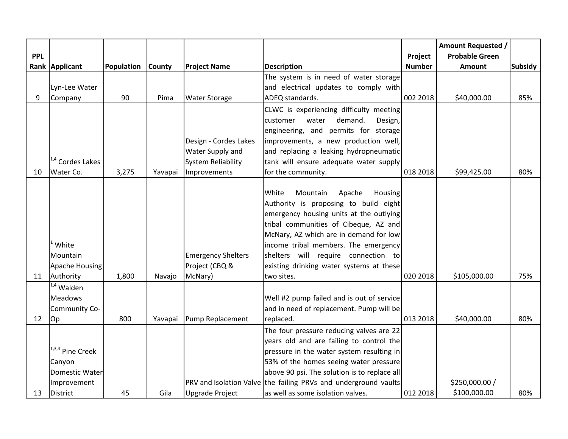|            |                             |            |               |                           |                                                                 |               | <b>Amount Requested /</b> |                |
|------------|-----------------------------|------------|---------------|---------------------------|-----------------------------------------------------------------|---------------|---------------------------|----------------|
| <b>PPL</b> |                             |            |               |                           |                                                                 | Project       | <b>Probable Green</b>     |                |
|            | Rank Applicant              | Population | <b>County</b> | <b>Project Name</b>       | <b>Description</b>                                              | <b>Number</b> | <b>Amount</b>             | <b>Subsidy</b> |
|            |                             |            |               |                           | The system is in need of water storage                          |               |                           |                |
|            | Lyn-Lee Water               |            |               |                           | and electrical updates to comply with                           |               |                           |                |
| 9          | Company                     | 90         | Pima          | <b>Water Storage</b>      | ADEQ standards.                                                 | 002 2018      | \$40,000.00               | 85%            |
|            |                             |            |               |                           | CLWC is experiencing difficulty meeting                         |               |                           |                |
|            |                             |            |               |                           | demand.<br>customer<br>water<br>Design,                         |               |                           |                |
|            |                             |            |               |                           | engineering, and permits for storage                            |               |                           |                |
|            |                             |            |               | Design - Cordes Lakes     | improvements, a new production well,                            |               |                           |                |
|            |                             |            |               | Water Supply and          | and replacing a leaking hydropneumatic                          |               |                           |                |
|            | <sup>1,4</sup> Cordes Lakes |            |               | <b>System Reliability</b> | tank will ensure adequate water supply                          |               |                           |                |
| 10         | Water Co.                   | 3,275      | Yavapai       | Improvements              | for the community.                                              | 018 2018      | \$99,425.00               | 80%            |
|            |                             |            |               |                           |                                                                 |               |                           |                |
|            |                             |            |               |                           | White<br>Mountain<br>Apache<br>Housing                          |               |                           |                |
|            |                             |            |               |                           | Authority is proposing to build eight                           |               |                           |                |
|            |                             |            |               |                           | emergency housing units at the outlying                         |               |                           |                |
|            |                             |            |               |                           | tribal communities of Cibeque, AZ and                           |               |                           |                |
|            |                             |            |               |                           | McNary, AZ which are in demand for low                          |               |                           |                |
|            | White                       |            |               |                           | income tribal members. The emergency                            |               |                           |                |
|            | Mountain                    |            |               | <b>Emergency Shelters</b> | shelters will require connection to                             |               |                           |                |
|            | Apache Housing              |            |               | Project (CBQ &            | existing drinking water systems at these                        |               |                           |                |
| 11         | Authority                   | 1,800      | Navajo        | McNary)                   | two sites.                                                      | 020 2018      | \$105,000.00              | 75%            |
|            | <sup>1,4</sup> Walden       |            |               |                           |                                                                 |               |                           |                |
|            | <b>Meadows</b>              |            |               |                           | Well #2 pump failed and is out of service                       |               |                           |                |
|            | Community Co-               |            |               |                           | and in need of replacement. Pump will be                        |               |                           |                |
| 12         | Op                          | 800        | Yavapai       | Pump Replacement          | replaced.                                                       | 013 2018      | \$40,000.00               | 80%            |
|            |                             |            |               |                           | The four pressure reducing valves are 22                        |               |                           |                |
|            |                             |            |               |                           | years old and are failing to control the                        |               |                           |                |
|            | 1,3,4 Pine Creek            |            |               |                           | pressure in the water system resulting in                       |               |                           |                |
|            | Canyon                      |            |               |                           | 53% of the homes seeing water pressure                          |               |                           |                |
|            | <b>Domestic Water</b>       |            |               |                           | above 90 psi. The solution is to replace all                    |               |                           |                |
|            | Improvement                 |            |               |                           | PRV and Isolation Valve the failing PRVs and underground vaults |               | \$250,000.00 /            |                |
| 13         | <b>District</b>             | 45         | Gila          | <b>Upgrade Project</b>    | as well as some isolation valves.                               | 012 2018      | \$100,000.00              | 80%            |